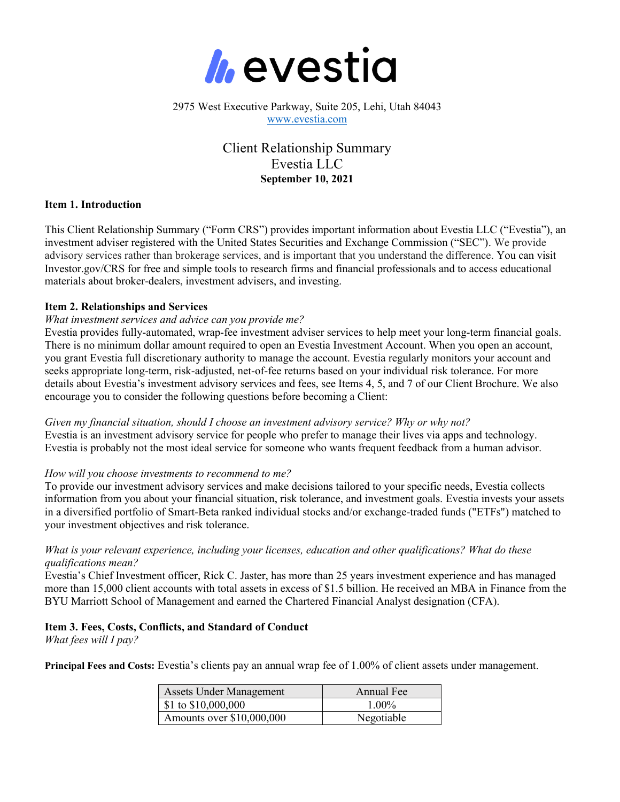

## 2975 West Executive Parkway, Suite 205, Lehi, Utah 84043 www.evestia.com

# Client Relationship Summary Evestia LLC **September 10, 2021**

#### **Item 1. Introduction**

This Client Relationship Summary ("Form CRS") provides important information about Evestia LLC ("Evestia"), an investment adviser registered with the United States Securities and Exchange Commission ("SEC"). We provide advisory services rather than brokerage services, and is important that you understand the difference. You can visit Investor.gov/CRS for free and simple tools to research firms and financial professionals and to access educational materials about broker-dealers, investment advisers, and investing.

## **Item 2. Relationships and Services**

#### *What investment services and advice can you provide me?*

Evestia provides fully-automated, wrap-fee investment adviser services to help meet your long-term financial goals. There is no minimum dollar amount required to open an Evestia Investment Account. When you open an account, you grant Evestia full discretionary authority to manage the account. Evestia regularly monitors your account and seeks appropriate long-term, risk-adjusted, net-of-fee returns based on your individual risk tolerance. For more details about Evestia's investment advisory services and fees, see Items 4, 5, and 7 of our Client Brochure. We also encourage you to consider the following questions before becoming a Client:

*Given my financial situation, should I choose an investment advisory service? Why or why not?* Evestia is an investment advisory service for people who prefer to manage their lives via apps and technology. Evestia is probably not the most ideal service for someone who wants frequent feedback from a human advisor.

#### *How will you choose investments to recommend to me?*

To provide our investment advisory services and make decisions tailored to your specific needs, Evestia collects information from you about your financial situation, risk tolerance, and investment goals. Evestia invests your assets in a diversified portfolio of Smart-Beta ranked individual stocks and/or exchange-traded funds ("ETFs") matched to your investment objectives and risk tolerance.

## *What is your relevant experience, including your licenses, education and other qualifications? What do these qualifications mean?*

Evestia's Chief Investment officer, Rick C. Jaster, has more than 25 years investment experience and has managed more than 15,000 client accounts with total assets in excess of \$1.5 billion. He received an MBA in Finance from the BYU Marriott School of Management and earned the Chartered Financial Analyst designation (CFA).

# **Item 3. Fees, Costs, Conflicts, and Standard of Conduct**

*What fees will I pay?*

**Principal Fees and Costs:** Evestia's clients pay an annual wrap fee of 1.00% of client assets under management.

| <b>Assets Under Management</b>    | Annual Fee |
|-----------------------------------|------------|
| $\frac{1}{2}$ \$1 to \$10,000,000 | $1.00\%$   |
| Amounts over \$10,000,000         | Negotiable |